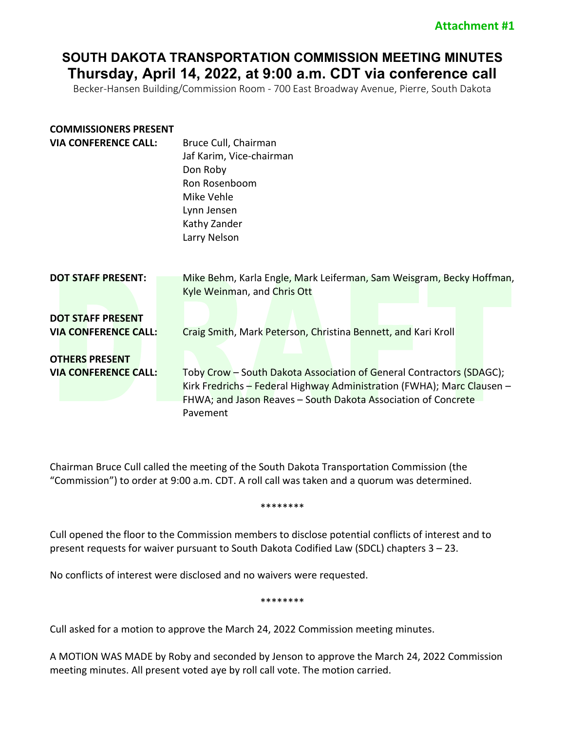# **SOUTH DAKOTA TRANSPORTATION COMMISSION MEETING MINUTES Thursday, April 14, 2022, at 9:00 a.m. CDT via conference call**

Becker-Hansen Building/Commission Room - 700 East Broadway Avenue, Pierre, South Dakota

| <b>COMMISSIONERS PRESENT</b><br><b>VIA CONFERENCE CALL:</b> | Bruce Cull, Chairman<br>Jaf Karim, Vice-chairman<br>Don Roby<br>Ron Rosenboom<br>Mike Vehle<br>Lynn Jensen<br>Kathy Zander<br>Larry Nelson                                                                                  |
|-------------------------------------------------------------|-----------------------------------------------------------------------------------------------------------------------------------------------------------------------------------------------------------------------------|
| <b>DOT STAFF PRESENT:</b>                                   | Mike Behm, Karla Engle, Mark Leiferman, Sam Weisgram, Becky Hoffman,<br>Kyle Weinman, and Chris Ott                                                                                                                         |
| <b>DOT STAFF PRESENT</b><br><b>VIA CONFERENCE CALL:</b>     | Craig Smith, Mark Peterson, Christina Bennett, and Kari Kroll                                                                                                                                                               |
| <b>OTHERS PRESENT</b><br><b>VIA CONFERENCE CALL:</b>        | Toby Crow - South Dakota Association of General Contractors (SDAGC);<br>Kirk Fredrichs - Federal Highway Administration (FWHA); Marc Clausen -<br>FHWA; and Jason Reaves - South Dakota Association of Concrete<br>Pavement |

Chairman Bruce Cull called the meeting of the South Dakota Transportation Commission (the "Commission") to order at 9:00 a.m. CDT. A roll call was taken and a quorum was determined.

\*\*\*\*\*\*\*\*

Cull opened the floor to the Commission members to disclose potential conflicts of interest and to present requests for waiver pursuant to South Dakota Codified Law (SDCL) chapters 3 – 23.

No conflicts of interest were disclosed and no waivers were requested.

\*\*\*\*\*\*\*\*

Cull asked for a motion to approve the March 24, 2022 Commission meeting minutes.

A MOTION WAS MADE by Roby and seconded by Jenson to approve the March 24, 2022 Commission meeting minutes. All present voted aye by roll call vote. The motion carried.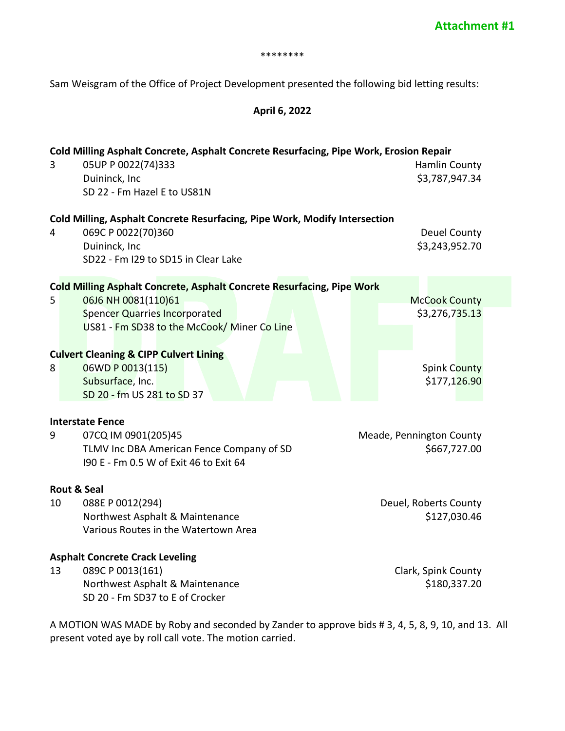#### \*\*\*\*\*\*\*\*

Sam Weisgram of the Office of Project Development presented the following bid letting results:

## **April 6, 2022**

| Cold Milling Asphalt Concrete, Asphalt Concrete Resurfacing, Pipe Work, Erosion Repair<br>05UP P 0022(74)333<br>Hamlin County<br>3 |                                                                                     |                                        |  |  |  |
|------------------------------------------------------------------------------------------------------------------------------------|-------------------------------------------------------------------------------------|----------------------------------------|--|--|--|
|                                                                                                                                    | Duininck, Inc                                                                       | \$3,787,947.34                         |  |  |  |
|                                                                                                                                    | SD 22 - Fm Hazel E to US81N                                                         |                                        |  |  |  |
|                                                                                                                                    | Cold Milling, Asphalt Concrete Resurfacing, Pipe Work, Modify Intersection          |                                        |  |  |  |
| 4                                                                                                                                  | 069C P 0022(70)360<br>Duininck, Inc                                                 | <b>Deuel County</b><br>\$3,243,952.70  |  |  |  |
|                                                                                                                                    | SD22 - Fm I29 to SD15 in Clear Lake                                                 |                                        |  |  |  |
|                                                                                                                                    | Cold Milling Asphalt Concrete, Asphalt Concrete Resurfacing, Pipe Work              |                                        |  |  |  |
| 5                                                                                                                                  | 06J6 NH 0081(110)61<br><b>Spencer Quarries Incorporated</b>                         | <b>McCook County</b><br>\$3,276,735.13 |  |  |  |
|                                                                                                                                    | US81 - Fm SD38 to the McCook/ Miner Co Line                                         |                                        |  |  |  |
|                                                                                                                                    |                                                                                     |                                        |  |  |  |
|                                                                                                                                    | <b>Culvert Cleaning &amp; CIPP Culvert Lining</b>                                   |                                        |  |  |  |
| 8                                                                                                                                  | 06WD P 0013(115)<br>Subsurface, Inc.                                                | <b>Spink County</b><br>\$177,126.90    |  |  |  |
|                                                                                                                                    | SD 20 - fm US 281 to SD 37                                                          |                                        |  |  |  |
|                                                                                                                                    | <b>Interstate Fence</b>                                                             |                                        |  |  |  |
| 9<br>07CQ IM 0901(205)45                                                                                                           |                                                                                     | Meade, Pennington County               |  |  |  |
|                                                                                                                                    | TLMV Inc DBA American Fence Company of SD<br>190 E - Fm 0.5 W of Exit 46 to Exit 64 | \$667,727.00                           |  |  |  |
|                                                                                                                                    | <b>Rout &amp; Seal</b>                                                              |                                        |  |  |  |
| 10                                                                                                                                 | 088E P 0012(294)                                                                    | Deuel, Roberts County                  |  |  |  |
|                                                                                                                                    | Northwest Asphalt & Maintenance<br>Various Routes in the Watertown Area             | \$127,030.46                           |  |  |  |
|                                                                                                                                    |                                                                                     |                                        |  |  |  |
|                                                                                                                                    | <b>Asphalt Concrete Crack Leveling</b>                                              |                                        |  |  |  |
| 13                                                                                                                                 | 089C P 0013(161)                                                                    | Clark, Spink County                    |  |  |  |
|                                                                                                                                    | Northwest Asphalt & Maintenance<br>SD 20 - Fm SD37 to E of Crocker                  | \$180,337.20                           |  |  |  |
|                                                                                                                                    |                                                                                     |                                        |  |  |  |

A MOTION WAS MADE by Roby and seconded by Zander to approve bids # 3, 4, 5, 8, 9, 10, and 13. All present voted aye by roll call vote. The motion carried.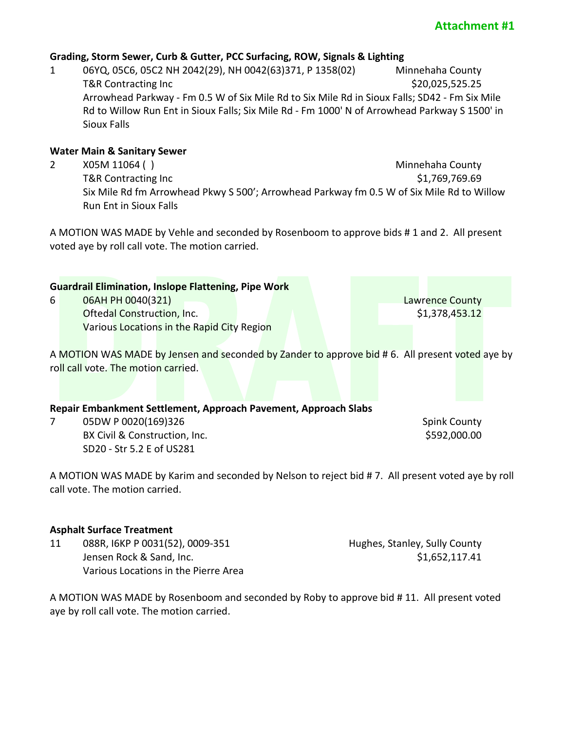# **Attachment #1**

### **Grading, Storm Sewer, Curb & Gutter, PCC Surfacing, ROW, Signals & Lighting**

1 06YQ, 05C6, 05C2 NH 2042(29), NH 0042(63)371, P 1358(02) Minnehaha County T&R Contracting Inc 6.20.025,525.25 Arrowhead Parkway - Fm 0.5 W of Six Mile Rd to Six Mile Rd in Sioux Falls; SD42 - Fm Six Mile Rd to Willow Run Ent in Sioux Falls; Six Mile Rd - Fm 1000' N of Arrowhead Parkway S 1500' in Sioux Falls

### **Water Main & Sanitary Sewer**

2 X05M 11064 ( ) and the county of the county of the county of the county of the county of the county of the county of the county of the county of the county of the county of the county of the county of the county of the c T&R Contracting Inc **the Superintensis of the State of the State Contracting Inc.** Six Mile Rd fm Arrowhead Pkwy S 500'; Arrowhead Parkway fm 0.5 W of Six Mile Rd to Willow Run Ent in Sioux Falls

A MOTION WAS MADE by Vehle and seconded by Rosenboom to approve bids # 1 and 2. All present voted aye by roll call vote. The motion carried.

|                                                                 | <b>Guardrail Elimination, Inslope Flattening, Pipe Work</b>                                    |                        |  |  |  |  |  |
|-----------------------------------------------------------------|------------------------------------------------------------------------------------------------|------------------------|--|--|--|--|--|
| 6                                                               | 06AH PH 0040(321)                                                                              | <b>Lawrence County</b> |  |  |  |  |  |
|                                                                 | <b>Oftedal Construction, Inc.</b>                                                              | \$1,378,453.12         |  |  |  |  |  |
|                                                                 | Various Locations in the Rapid City Region                                                     |                        |  |  |  |  |  |
|                                                                 |                                                                                                |                        |  |  |  |  |  |
|                                                                 | A MOTION WAS MADE by Jensen and seconded by Zander to approve bid #6. All present voted aye by |                        |  |  |  |  |  |
|                                                                 | roll call vote. The motion carried.                                                            |                        |  |  |  |  |  |
|                                                                 |                                                                                                |                        |  |  |  |  |  |
|                                                                 |                                                                                                |                        |  |  |  |  |  |
| Repair Embankment Settlement, Approach Pavement, Approach Slabs |                                                                                                |                        |  |  |  |  |  |
|                                                                 | 05DW P 0020(169)326                                                                            | <b>Spink County</b>    |  |  |  |  |  |
|                                                                 | BX Civil & Construction, Inc.                                                                  | \$592,000.00           |  |  |  |  |  |
|                                                                 | SD20 - Str 5.2 E of US281                                                                      |                        |  |  |  |  |  |
|                                                                 |                                                                                                |                        |  |  |  |  |  |

A MOTION WAS MADE by Karim and seconded by Nelson to reject bid # 7. All present voted aye by roll call vote. The motion carried.

### **Asphalt Surface Treatment**

11 088R, I6KP P 0031(52), 0009-351 Hughes, Stanley, Sully County Jensen Rock & Sand, Inc. \$1,652,117.41 Various Locations in the Pierre Area

A MOTION WAS MADE by Rosenboom and seconded by Roby to approve bid # 11. All present voted aye by roll call vote. The motion carried.